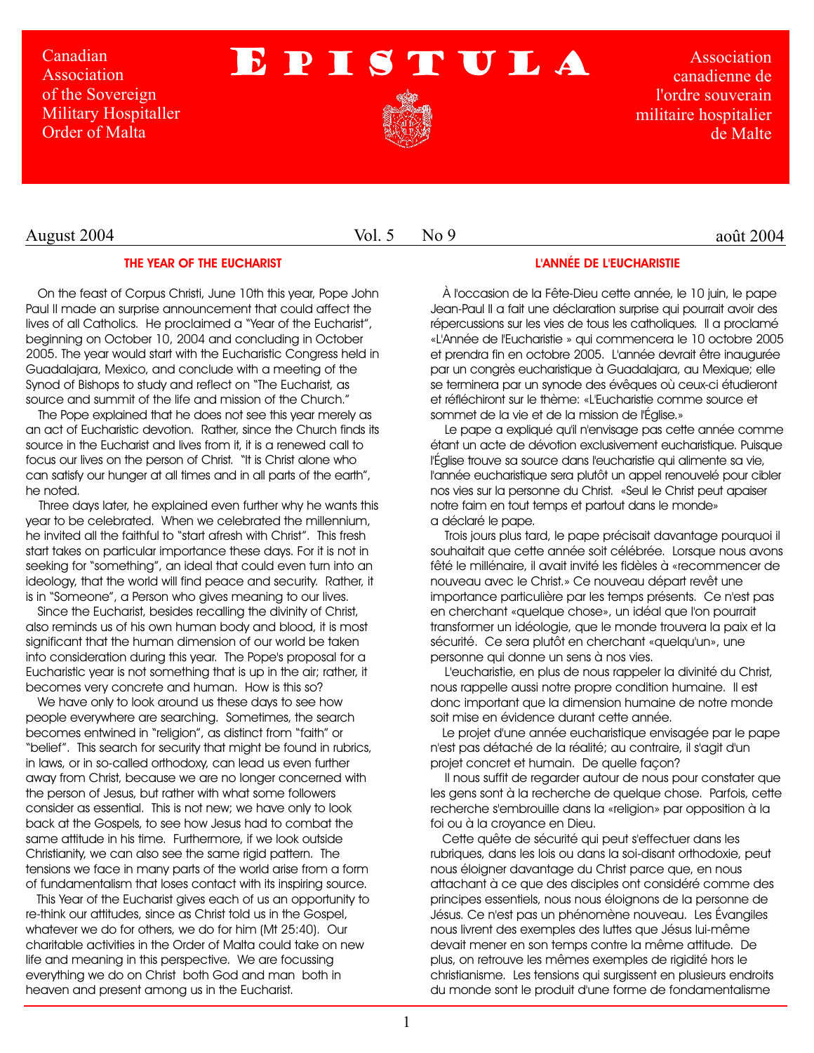Canadian **Association** of the Sovereign Military Hospitaller Order of Malta

# EPISTULA



Association canadienne de l'ordre souverain militaire hospitalier de Malte

Vol. 5 No 9

# août 2004

## **THE YEAR OF THE EUCHARIST**

On the feast of Corpus Christi, June 10th this year, Pope John Paul II made an surprise announcement that could affect the lives of all Catholics. He proclaimed a "Year of the Eucharist", beginning on October 10, 2004 and concluding in October 2005. The year would start with the Eucharistic Congress held in Guadalajara, Mexico, and conclude with a meeting of the Synod of Bishops to study and reflect on "The Eucharist, as source and summit of the life and mission of the Church."

The Pope explained that he does not see this year merely as an act of Eucharistic devotion. Rather, since the Church finds its source in the Eucharist and lives from it, it is a renewed call to focus our lives on the person of Christ. "It is Christ alone who can satisfy our hunger at all times and in all parts of the earth", he noted.

Three days later, he explained even further why he wants this year to be celebrated. When we celebrated the millennium, he invited all the faithful to "start afresh with Christ". This fresh start takes on particular importance these days. For it is not in seeking for "something", an ideal that could even turn into an ideology, that the world will find peace and security. Rather, it is in "Someone", a Person who gives meaning to our lives.

Since the Eucharist, besides recalling the divinity of Christ, also reminds us of his own human body and blood, it is most significant that the human dimension of our world be taken into consideration during this year. The Pope's proposal for a Eucharistic year is not something that is up in the air; rather, it becomes very concrete and human. How is this so?

We have only to look around us these days to see how people everywhere are searching. Sometimes, the search becomes entwined in "religion", as distinct from "faith" or "belief". This search for security that might be found in rubrics, in laws, or in so-called orthodoxy, can lead us even further away from Christ, because we are no longer concerned with the person of Jesus, but rather with what some followers consider as essential. This is not new; we have only to look back at the Gospels, to see how Jesus had to combat the same attitude in his time. Furthermore, if we look outside Christianity, we can also see the same rigid pattern. The tensions we face in many parts of the world arise from a form of fundamentalism that loses contact with its inspiring source.

This Year of the Eucharist gives each of us an opportunity to re-think our attitudes, since as Christ told us in the Gospel, whatever we do for others, we do for him (Mt 25:40). Our charitable activities in the Order of Malta could take on new life and meaning in this perspective. We are focussing everything we do on Christ both God and man both in heaven and present among us in the Eucharist.

# **L'ANNÉE DE L'EUCHARISTIE**

À l'occasion de la Fête-Dieu cette année, le 10 juin, le pape Jean-Paul II a fait une déclaration surprise qui pourrait avoir des répercussions sur les vies de tous les catholiques. Il a proclamé «L'Année de l'Eucharistie » qui commencera le 10 octobre 2005 et prendra fin en octobre 2005. L'année devrait être inaugurée par un congrès eucharistique à Guadalajara, au Mexique; elle se terminera par un synode des évêques où ceux-ci étudieront et réfléchiront sur le thème: «L'Eucharistie comme source et sommet de la vie et de la mission de l'Église.»

 Le pape a expliqué qu'il n'envisage pas cette année comme étant un acte de dévotion exclusivement eucharistique. Puisque l'Église trouve sa source dans l'eucharistie qui alimente sa vie, l'année eucharistique sera plutôt un appel renouvelé pour cibler nos vies sur la personne du Christ. «Seul le Christ peut apaiser notre faim en tout temps et partout dans le monde» a déclaré le pape.

 Trois jours plus tard, le pape précisait davantage pourquoi il souhaitait que cette année soit célébrée. Lorsque nous avons fêté le millénaire, il avait invité les fidèles à «recommencer de nouveau avec le Christ.» Ce nouveau départ revêt une importance particulière par les temps présents. Ce n'est pas en cherchant «quelque chose», un idéal que l'on pourrait transformer un idéologie, que le monde trouvera la paix et la sécurité. Ce sera plutôt en cherchant «quelqu'un», une personne qui donne un sens à nos vies.

 L'eucharistie, en plus de nous rappeler la divinité du Christ, nous rappelle aussi notre propre condition humaine. Il est donc important que la dimension humaine de notre monde soit mise en évidence durant cette année.

Le projet d'une année eucharistique envisagée par le pape n'est pas détaché de la réalité; au contraire, il s'agit d'un projet concret et humain. De quelle façon?

 Il nous suffit de regarder autour de nous pour constater que les gens sont à la recherche de quelque chose. Parfois, cette recherche s'embrouille dans la «religion» par opposition à la foi ou à la croyance en Dieu.

Cette quête de sécurité qui peut s'effectuer dans les rubriques, dans les lois ou dans la soi-disant orthodoxie, peut nous éloigner davantage du Christ parce que, en nous attachant à ce que des disciples ont considéré comme des principes essentiels, nous nous éloignons de la personne de Jésus. Ce n'est pas un phénomène nouveau. Les Évangiles nous livrent des exemples des luttes que Jésus lui-même devait mener en son temps contre la même attitude. De plus, on retrouve les mêmes exemples de rigidité hors le christianisme. Les tensions qui surgissent en plusieurs endroits du monde sont le produit d'une forme de fondamentalisme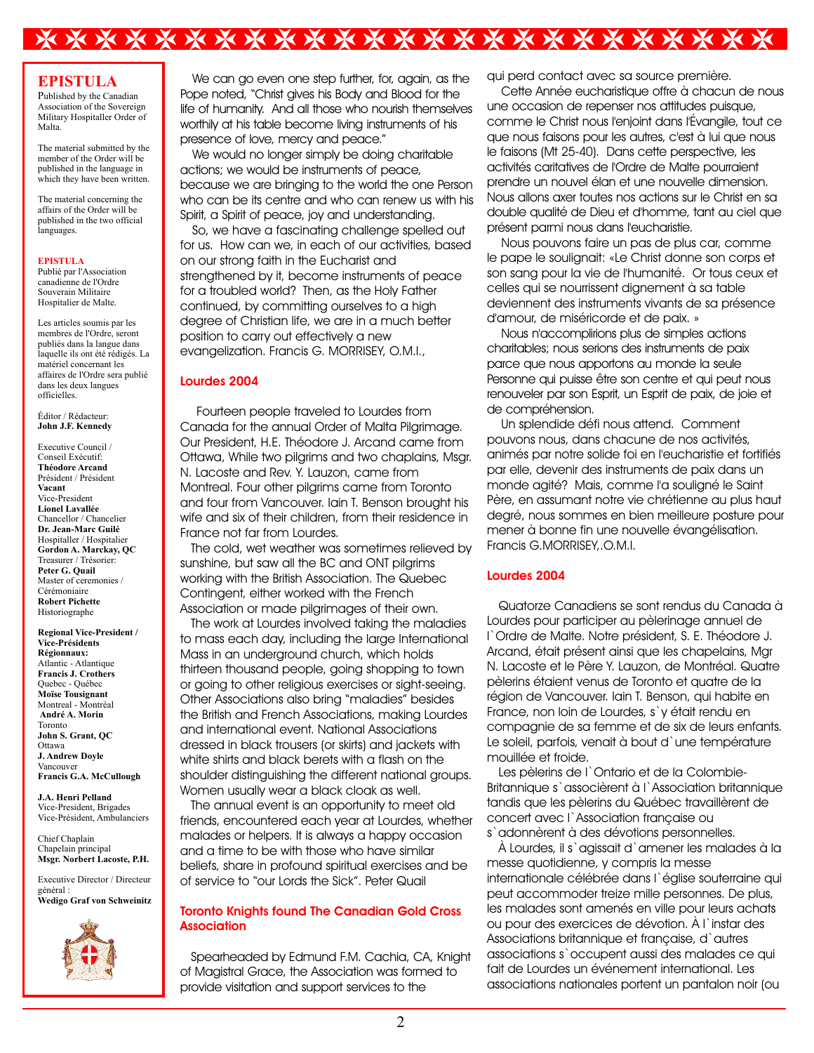# \*\*\*\*\*\*\*\*\*\*\*\*\*\*\*\*\*\*\*\*\*\*\*\*

### **EPISTULA**

Published by the Canadian Association of the Sovereign Military Hospitaller Order of Malta.

The material submitted by the member of the Order will be published in the language in which they have been written.

The material concerning the affairs of the Order will be published in the two official languages.

#### **EPISTULA**

Publié par l'Association canadienne de l'Ordre Souverain Militaire Hospitalier de Malte.

Les articles soumis par les membres de l'Ordre, seront publiés dans la langue dans laquelle ils ont été rédigés. La matériel concernant les affaires de l'Ordre sera publié dans les deux langues officielles.

Éditor / Rédacteur: **John J.F. Kennedy**

Executive Council / Conseil Exécutif: **Théodore Arcand**  Président / Président **Vacant** Vice-President **Lionel Lavallée** Chancellor / Chancelier **Dr. Jean-Marc Guilé** Hospitaller / Hospitalier **Gordon A. Marckay, QC** Treasurer / Trésorier: **Peter G. Quail** Master of ceremonies / Cérémoniaire **Robert Pichette** Historiographe

**Regional Vice-President / Vice-Présidents Régionnaux:** Atlantic - Atlantique **Francis J. Crothers** Quebec - Québec **Moïse Tousignant** Montreal - Montréal **André A. Morin** Toronto **John S. Grant, QC** Ottawa **J. Andrew Doyle** Vancouver **Francis G.A. McCullough**

**J.A. Henri Pelland** Vice-President, Brigades Vice-Président, Ambulanciers

Chief Chaplain Chapelain principal **Msgr. Norbert Lacoste, P.H.**

Executive Director / Directeur général : **Wedigo Graf von Schweinitz**



We can go even one step further, for, again, as the Pope noted, "Christ gives his Body and Blood for the life of humanity. And all those who nourish themselves worthily at his table become living instruments of his presence of love, mercy and peace."

We would no longer simply be doing charitable actions; we would be instruments of peace, because we are bringing to the world the one Person who can be its centre and who can renew us with his Spirit, a Spirit of peace, joy and understanding.

So, we have a fascinating challenge spelled out for us. How can we, in each of our activities, based on our strong faith in the Eucharist and strengthened by it, become instruments of peace for a troubled world? Then, as the Holy Father continued, by committing ourselves to a high degree of Christian life, we are in a much better position to carry out effectively a new evangelization. Francis G. MORRISEY, O.M.I.,

### **Lourdes 2004**

 Fourteen people traveled to Lourdes from Canada for the annual Order of Malta Pilgrimage. Our President, H.E. Théodore J. Arcand came from Ottawa, While two pilgrims and two chaplains, Msgr. N. Lacoste and Rev. Y. Lauzon, came from Montreal. Four other pilgrims came from Toronto and four from Vancouver. Iain T. Benson brought his wife and six of their children, from their residence in France not far from Lourdes.

 The cold, wet weather was sometimes relieved by sunshine, but saw all the BC and ONT pilgrims working with the British Association. The Quebec Contingent, either worked with the French Association or made pilgrimages of their own.

 The work at Lourdes involved taking the maladies to mass each day, including the large International Mass in an underground church, which holds thirteen thousand people, going shopping to town or going to other religious exercises or sight-seeing. Other Associations also bring "maladies" besides the British and French Associations, making Lourdes and international event. National Associations dressed in black trousers (or skirts) and jackets with white shirts and black berets with a flash on the shoulder distinguishing the different national groups. Women usually wear a black cloak as well.

 The annual event is an opportunity to meet old friends, encountered each year at Lourdes, whether malades or helpers. It is always a happy occasion and a time to be with those who have similar beliefs, share in profound spiritual exercises and be of service to "our Lords the Sick". Peter Quail

### **Toronto Knights found The Canadian Gold Cross Association**

 Spearheaded by Edmund F.M. Cachia, CA, Knight of Magistral Grace, the Association was formed to provide visitation and support services to the

qui perd contact avec sa source première.

 Cette Année eucharistique offre à chacun de nous une occasion de repenser nos attitudes puisque, comme le Christ nous l'enjoint dans l'Évangile, tout ce que nous faisons pour les autres, c'est à lui que nous le faisons (Mt 25-40). Dans cette perspective, les activités caritatives de l'Ordre de Malte pourraient prendre un nouvel élan et une nouvelle dimension. Nous allons axer toutes nos actions sur le Christ en sa double qualité de Dieu et d'homme, tant au ciel que présent parmi nous dans l'eucharistie.

 Nous pouvons faire un pas de plus car, comme le pape le soulignait: «Le Christ donne son corps et son sang pour la vie de l'humanité. Or tous ceux et celles qui se nourrissent dignement à sa table deviennent des instruments vivants de sa présence d'amour, de miséricorde et de paix. »

 Nous n'accomplirions plus de simples actions charitables; nous serions des instruments de paix parce que nous apportons au monde la seule Personne qui puisse être son centre et qui peut nous renouveler par son Esprit, un Esprit de paix, de joie et de compréhension.

 Un splendide défi nous attend. Comment pouvons nous, dans chacune de nos activités, animés par notre solide foi en l'eucharistie et fortifiés par elle, devenir des instruments de paix dans un monde agité? Mais, comme l'a souligné le Saint Père, en assumant notre vie chrétienne au plus haut degré, nous sommes en bien meilleure posture pour mener à bonne fin une nouvelle évangélisation. Francis G.MORRISEY,.O.M.I.

#### **Lourdes 2004**

Quatorze Canadiens se sont rendus du Canada à Lourdes pour participer au pèlerinage annuel de l`Ordre de Malte. Notre président, S. E. Théodore J. Arcand, était présent ainsi que les chapelains, Mgr N. Lacoste et le Père Y. Lauzon, de Montréal. Quatre pèlerins étaient venus de Toronto et quatre de la région de Vancouver. Iain T. Benson, qui habite en France, non loin de Lourdes, s`y était rendu en compagnie de sa femme et de six de leurs enfants. Le soleil, parfois, venait à bout d`une température mouillée et froide.

Les pèlerins de l`Ontario et de la Colombie-Britannique s'associèrent à l'Association britannique tandis que les pèlerins du Québec travaillèrent de concert avec l`Association française ou s`adonnèrent à des dévotions personnelles.

À Lourdes, il s`agissait d`amener les malades à la messe quotidienne, y compris la messe internationale célébrée dans l`église souterraine qui peut accommoder treize mille personnes. De plus, les malades sont amenés en ville pour leurs achats ou pour des exercices de dévotion. À l`instar des Associations britannique et française, d'autres associations s`occupent aussi des malades ce qui fait de Lourdes un événement international. Les associations nationales portent un pantalon noir (ou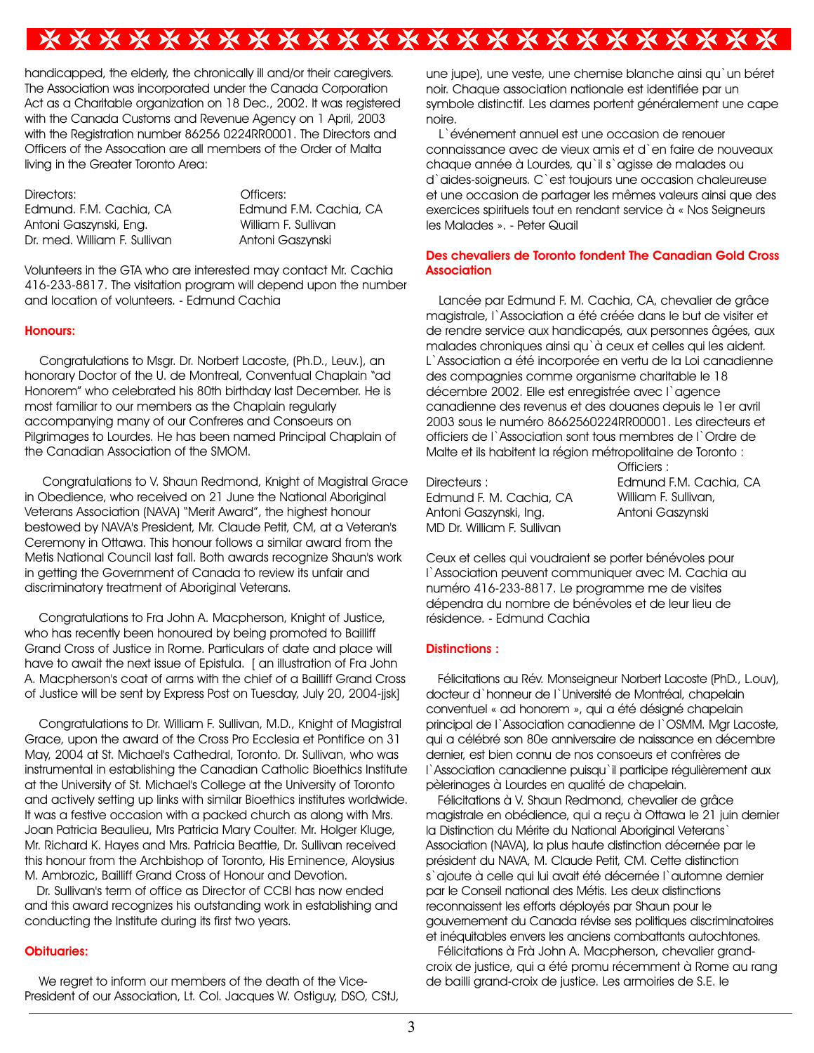# \*\*\*\*\*\*\*\*\*\*\*\*\*\*\*\*\*\*\*\*\*\*\*\*

handicapped, the elderly, the chronically ill and/or their caregivers. The Association was incorporated under the Canada Corporation Act as a Charitable organization on 18 Dec., 2002. It was registered with the Canada Customs and Revenue Agency on 1 April, 2003 with the Registration number 86256 0224RR0001. The Directors and Officers of the Assocation are all members of the Order of Malta living in the Greater Toronto Area:

Directors: Officers: Edmund. F.M. Cachia, CA Edmund F.M. Cachia, CA Antoni Gaszynski, Eng. William F. Sullivan Dr. med. William F. Sullivan Antoni Gaszynski

Volunteers in the GTA who are interested may contact Mr. Cachia 416-233-8817. The visitation program will depend upon the number and location of volunteers. - Edmund Cachia

#### **Honours:**

Congratulations to Msgr. Dr. Norbert Lacoste, (Ph.D., Leuv.), an honorary Doctor of the U. de Montreal, Conventual Chaplain "ad Honorem" who celebrated his 80th birthday last December. He is most familiar to our members as the Chaplain regularly accompanying many of our Confreres and Consoeurs on Pilgrimages to Lourdes. He has been named Principal Chaplain of the Canadian Association of the SMOM.

 Congratulations to V. Shaun Redmond, Knight of Magistral Grace in Obedience, who received on 21 June the National Aboriginal Veterans Association (NAVA) "Merit Award", the highest honour bestowed by NAVA's President, Mr. Claude Petit, CM, at a Veteran's Ceremony in Ottawa. This honour follows a similar award from the Metis National Council last fall. Both awards recognize Shaun's work in getting the Government of Canada to review its unfair and discriminatory treatment of Aboriginal Veterans.

 Congratulations to Fra John A. Macpherson, Knight of Justice, who has recently been honoured by being promoted to Bailliff Grand Cross of Justice in Rome. Particulars of date and place will have to await the next issue of Epistula. I an illustration of Fra John A. Macpherson's coat of arms with the chief of a Bailliff Grand Cross of Justice will be sent by Express Post on Tuesday, July 20, 2004-jjsk]

 Congratulations to Dr. William F. Sullivan, M.D., Knight of Magistral Grace, upon the award of the Cross Pro Ecclesia et Pontifice on 31 May, 2004 at St. Michael's Cathedral, Toronto. Dr. Sullivan, who was instrumental in establishing the Canadian Catholic Bioethics Institute at the University of St. Michael's College at the University of Toronto and actively setting up links with similar Bioethics institutes worldwide. It was a festive occasion with a packed church as along with Mrs. Joan Patricia Beaulieu, Mrs Patricia Mary Coulter. Mr. Holger Kluge, Mr. Richard K. Hayes and Mrs. Patricia Beattie, Dr. Sullivan received this honour from the Archbishop of Toronto, His Eminence, Aloysius M. Ambrozic, Bailliff Grand Cross of Honour and Devotion.

Dr. Sullivan's term of office as Director of CCBI has now ended and this award recognizes his outstanding work in establishing and conducting the Institute during its first two years.

#### **Obituaries:**

 We regret to inform our members of the death of the Vice-President of our Association, Lt. Col. Jacques W. Ostiguy, DSO, CStJ, une jupe), une veste, une chemise blanche ainsi qu'un béret noir. Chaque association nationale est identifiée par un symbole distinctif. Les dames portent généralement une cape noire.

L`événement annuel est une occasion de renouer connaissance avec de vieux amis et d`en faire de nouveaux chaque année à Lourdes, qu`il s`agisse de malades ou d`aides-soigneurs. C`est toujours une occasion chaleureuse et une occasion de partager les mêmes valeurs ainsi que des exercices spirituels tout en rendant service à « Nos Seigneurs les Malades ». - Peter Quail

### **Des chevaliers de Toronto fondent The Canadian Gold Cross Association**

Lancée par Edmund F. M. Cachia, CA, chevalier de grâce magistrale, l`Association a été créée dans le but de visiter et de rendre service aux handicapés, aux personnes âgées, aux malades chroniques ainsi qu`à ceux et celles qui les aident. L`Association a été incorporée en vertu de la Loi canadienne des compagnies comme organisme charitable le 18 décembre 2002. Elle est enregistrée avec l'agence canadienne des revenus et des douanes depuis le 1er avril 2003 sous le numéro 8662560224RR00001. Les directeurs et officiers de l`Association sont tous membres de l`Ordre de Malte et ils habitent la région métropolitaine de Toronto :

Directeurs : Edmund F. M. Cachia, CA Antoni Gaszynski, Ing. MD Dr. William F. Sullivan

Officiers : Edmund F.M. Cachia, CA William F. Sullivan, Antoni Gaszynski

Ceux et celles qui voudraient se porter bénévoles pour l`Association peuvent communiquer avec M. Cachia au numéro 416-233-8817. Le programme me de visites dépendra du nombre de bénévoles et de leur lieu de résidence. - Edmund Cachia

#### **Distinctions :**

Félicitations au Rév. Monseigneur Norbert Lacoste (PhD., L.ouv), docteur d`honneur de l`Université de Montréal, chapelain conventuel « ad honorem », qui a été désigné chapelain principal de l`Association canadienne de l`OSMM. Mgr Lacoste, qui a célébré son 80e anniversaire de naissance en décembre dernier, est bien connu de nos consoeurs et confrères de l'Association canadienne puisqu'il participe régulièrement aux pèlerinages à Lourdes en qualité de chapelain.

Félicitations à V. Shaun Redmond, chevalier de grâce magistrale en obédience, qui a reçu à Ottawa le 21 juin dernier la Distinction du Mérite du National Aboriginal Veterans` Association (NAVA), la plus haute distinction décernée par le président du NAVA, M. Claude Petit, CM. Cette distinction s`ajoute à celle qui lui avait été décernée l`automne dernier par le Conseil national des Métis. Les deux distinctions reconnaissent les efforts déployés par Shaun pour le gouvernement du Canada révise ses politiques discriminatoires et inéquitables envers les anciens combattants autochtones.

Félicitations à Frà John A. Macpherson, chevalier grandcroix de justice, qui a été promu récemment à Rome au rang de bailli grand-croix de justice. Les armoiries de S.E. le